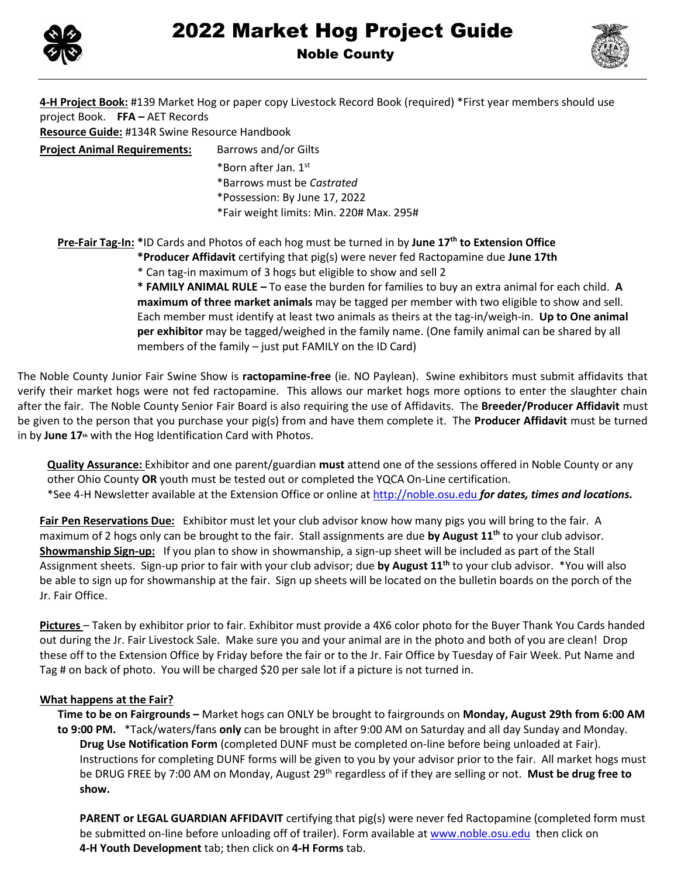



Noble County

**4-H Project Book:** #139 Market Hog or paper copy Livestock Record Book (required) \*First year members should use project Book. **FFA –** AET Records **Resource Guide:** #134R Swine Resource Handbook **Project Animal Requirements:** Barrows and/or Gilts \*Born after Jan. 1st \*Barrows must be *Castrated*  \*Possession: By June 17, 2022 \*Fair weight limits: Min. 220# Max. 295# **Pre-Fair Tag-In: \***ID Cards and Photos of each hog must be turned in by **June 17 th to Extension Office \*Producer Affidavit** certifying that pig(s) were never fed Ractopamine due **June 17th** \* Can tag-in maximum of 3 hogs but eligible to show and sell 2

**\* FAMILY ANIMAL RULE –** To ease the burden for families to buy an extra animal for each child. **A maximum of three market animals** may be tagged per member with two eligible to show and sell. Each member must identify at least two animals as theirs at the tag-in/weigh-in. **Up to One animal per exhibitor** may be tagged/weighed in the family name. (One family animal can be shared by all members of the family – just put FAMILY on the ID Card)

The Noble County Junior Fair Swine Show is **ractopamine-free** (ie. NO Paylean). Swine exhibitors must submit affidavits that verify their market hogs were not fed ractopamine. This allows our market hogs more options to enter the slaughter chain after the fair. The Noble County Senior Fair Board is also requiring the use of Affidavits. The **Breeder/Producer Affidavit** must be given to the person that you purchase your pig(s) from and have them complete it. The **Producer Affidavit** must be turned in by **June 17th** with the Hog Identification Card with Photos.

**Quality Assurance:** Exhibitor and one parent/guardian **must** attend one of the sessions offered in Noble County or any other Ohio County **OR** youth must be tested out or completed the YQCA On-Line certification. \*See 4-H Newsletter available at the Extension Office or online at http://noble.osu.edu *for dates, times and locations.*

**Fair Pen Reservations Due:** Exhibitor must let your club advisor know how many pigs you will bring to the fair. A maximum of 2 hogs only can be brought to the fair. Stall assignments are due **by August 11 th** to your club advisor. **Showmanship Sign-up:** If you plan to show in showmanship, a sign-up sheet will be included as part of the Stall Assignment sheets. Sign-up prior to fair with your club advisor; due **by August 11 th** to your club advisor. \*You will also be able to sign up for showmanship at the fair. Sign up sheets will be located on the bulletin boards on the porch of the Jr. Fair Office.

**Pictures** – Taken by exhibitor prior to fair. Exhibitor must provide a 4X6 color photo for the Buyer Thank You Cards handed out during the Jr. Fair Livestock Sale. Make sure you and your animal are in the photo and both of you are clean! Drop these off to the Extension Office by Friday before the fair or to the Jr. Fair Office by Tuesday of Fair Week. Put Name and Tag # on back of photo. You will be charged \$20 per sale lot if a picture is not turned in.

## **What happens at the Fair?**

**Time to be on Fairgrounds –** Market hogs can ONLY be brought to fairgrounds on **Monday, August 29th from 6:00 AM to 9:00 PM.** \*Tack/waters/fans **only** can be brought in after 9:00 AM on Saturday and all day Sunday and Monday. **Drug Use Notification Form** (completed DUNF must be completed on-line before being unloaded at Fair). Instructions for completing DUNF forms will be given to you by your advisor prior to the fair. All market hogs must be DRUG FREE by 7:00 AM on Monday, August 29th regardless of if they are selling or not. **Must be drug free to show.** 

**PARENT or LEGAL GUARDIAN AFFIDAVIT** certifying that pig(s) were never fed Ractopamine (completed form must be submitted on-line before unloading off of trailer). Form available a[t www.noble.osu.edu](http://www.noble.osu.edu/) then click on **4-H Youth Development** tab; then click on **4-H Forms** tab.